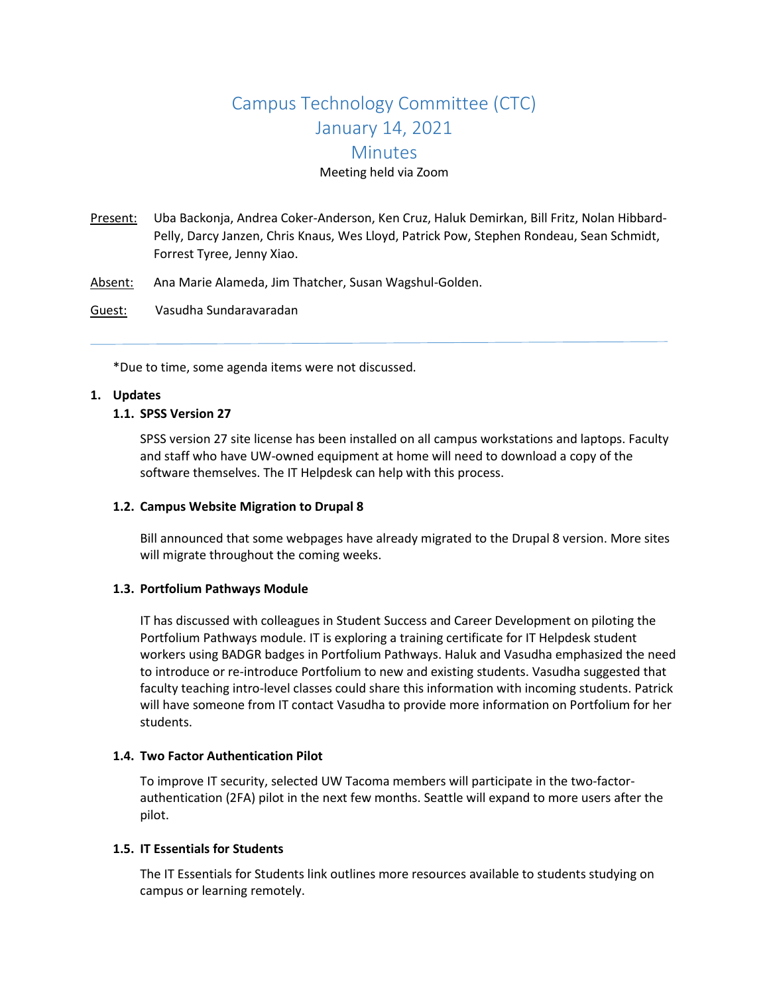# Campus Technology Committee (CTC) January 14, 2021 **Minutes** Meeting held via Zoom

- Present: Uba Backonja, Andrea Coker-Anderson, Ken Cruz, Haluk Demirkan, Bill Fritz, Nolan Hibbard-Pelly, Darcy Janzen, Chris Knaus, Wes Lloyd, Patrick Pow, Stephen Rondeau, Sean Schmidt, Forrest Tyree, Jenny Xiao.
- Absent: Ana Marie Alameda, Jim Thatcher, Susan Wagshul-Golden.
- Guest: Vasudha Sundaravaradan

\*Due to time, some agenda items were not discussed.

#### **1. Updates**

#### **1.1. SPSS Version 27**

SPSS version 27 site license has been installed on all campus workstations and laptops. Faculty and staff who have UW-owned equipment at home will need to download a copy of the software themselves. The IT Helpdesk can help with this process.

#### **1.2. Campus Website Migration to Drupal 8**

Bill announced that some webpages have already migrated to the Drupal 8 version. More sites will migrate throughout the coming weeks.

#### **1.3. Portfolium Pathways Module**

IT has discussed with colleagues in Student Success and Career Development on piloting the Portfolium Pathways module. IT is exploring a training certificate for IT Helpdesk student workers using BADGR badges in Portfolium Pathways. Haluk and Vasudha emphasized the need to introduce or re-introduce Portfolium to new and existing students. Vasudha suggested that faculty teaching intro-level classes could share this information with incoming students. Patrick will have someone from IT contact Vasudha to provide more information on Portfolium for her students.

# **1.4. Two Factor Authentication Pilot**

To improve IT security, selected UW Tacoma members will participate in the two-factorauthentication (2FA) pilot in the next few months. Seattle will expand to more users after the pilot.

# **1.5. IT Essentials for Students**

The IT Essentials for Students link outlines more resources available to students studying on campus or learning remotely.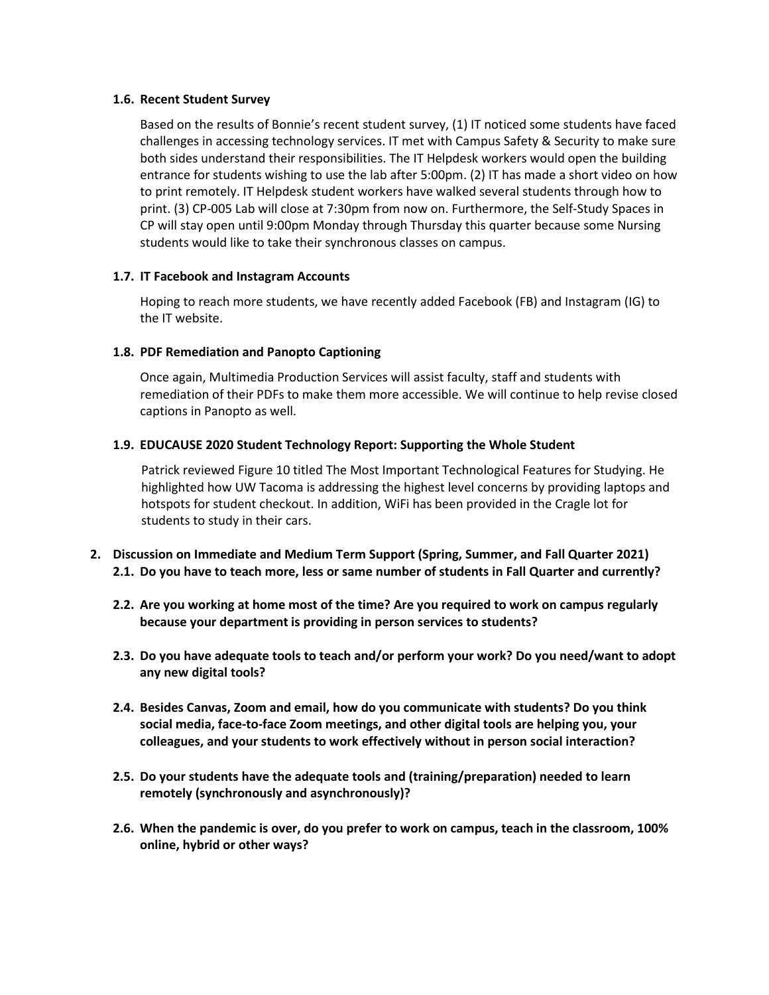#### **1.6. Recent Student Survey**

Based on the results of Bonnie's recent student survey, (1) IT noticed some students have faced challenges in accessing technology services. IT met with Campus Safety & Security to make sure both sides understand their responsibilities. The IT Helpdesk workers would open the building entrance for students wishing to use the lab after 5:00pm. (2) IT has made a short video on how to print remotely. IT Helpdesk student workers have walked several students through how to print. (3) CP-005 Lab will close at 7:30pm from now on. Furthermore, the Self-Study Spaces in CP will stay open until 9:00pm Monday through Thursday this quarter because some Nursing students would like to take their synchronous classes on campus.

# **1.7. IT Facebook and Instagram Accounts**

Hoping to reach more students, we have recently added Facebook (FB) and Instagram (IG) to the IT website.

# **1.8. PDF Remediation and Panopto Captioning**

Once again, Multimedia Production Services will assist faculty, staff and students with remediation of their PDFs to make them more accessible. We will continue to help revise closed captions in Panopto as well.

# **1.9. EDUCAUSE 2020 Student Technology Report: Supporting the Whole Student**

Patrick reviewed Figure 10 titled The Most Important Technological Features for Studying. He highlighted how UW Tacoma is addressing the highest level concerns by providing laptops and hotspots for student checkout. In addition, WiFi has been provided in the Cragle lot for students to study in their cars.

- **2. Discussion on Immediate and Medium Term Support (Spring, Summer, and Fall Quarter 2021) 2.1. Do you have to teach more, less or same number of students in Fall Quarter and currently?**
	- **2.2. Are you working at home most of the time? Are you required to work on campus regularly because your department is providing in person services to students?**
	- **2.3. Do you have adequate tools to teach and/or perform your work? Do you need/want to adopt any new digital tools?**
	- **2.4. Besides Canvas, Zoom and email, how do you communicate with students? Do you think social media, face-to-face Zoom meetings, and other digital tools are helping you, your colleagues, and your students to work effectively without in person social interaction?**
	- **2.5. Do your students have the adequate tools and (training/preparation) needed to learn remotely (synchronously and asynchronously)?**
	- **2.6. When the pandemic is over, do you prefer to work on campus, teach in the classroom, 100% online, hybrid or other ways?**